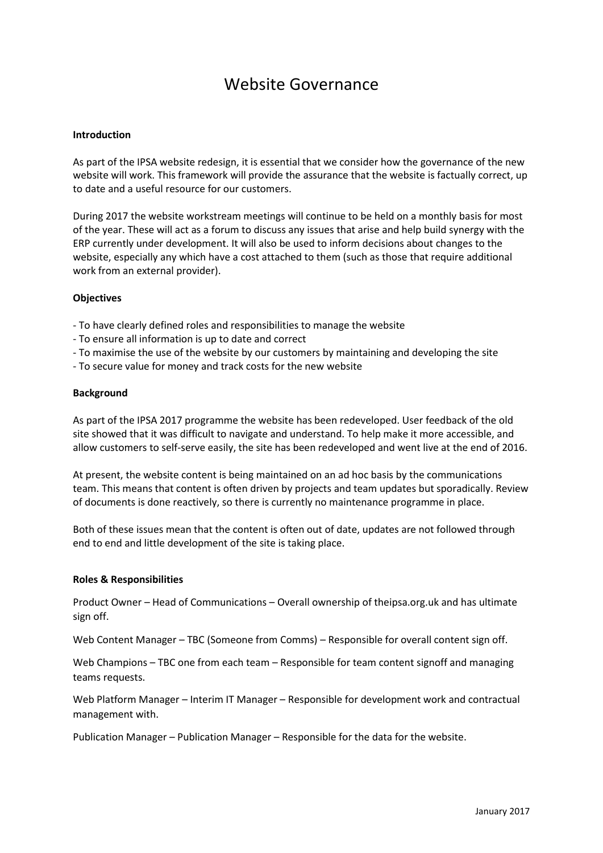# Website Governance

## **Introduction**

As part of the IPSA website redesign, it is essential that we consider how the governance of the new website will work. This framework will provide the assurance that the website is factually correct, up to date and a useful resource for our customers.

During 2017 the website workstream meetings will continue to be held on a monthly basis for most of the year. These will act as a forum to discuss any issues that arise and help build synergy with the ERP currently under development. It will also be used to inform decisions about changes to the website, especially any which have a cost attached to them (such as those that require additional work from an external provider).

### **Objectives**

- To have clearly defined roles and responsibilities to manage the website
- To ensure all information is up to date and correct
- To maximise the use of the website by our customers by maintaining and developing the site
- To secure value for money and track costs for the new website

#### **Background**

As part of the IPSA 2017 programme the website has been redeveloped. User feedback of the old site showed that it was difficult to navigate and understand. To help make it more accessible, and allow customers to self-serve easily, the site has been redeveloped and went live at the end of 2016.

At present, the website content is being maintained on an ad hoc basis by the communications team. This means that content is often driven by projects and team updates but sporadically. Review of documents is done reactively, so there is currently no maintenance programme in place.

Both of these issues mean that the content is often out of date, updates are not followed through end to end and little development of the site is taking place.

#### **Roles & Responsibilities**

Product Owner – Head of Communications – Overall ownership of theipsa.org.uk and has ultimate sign off.

Web Content Manager – TBC (Someone from Comms) – Responsible for overall content sign off.

Web Champions – TBC one from each team – Responsible for team content signoff and managing teams requests.

Web Platform Manager – Interim IT Manager – Responsible for development work and contractual management with.

Publication Manager – Publication Manager – Responsible for the data for the website.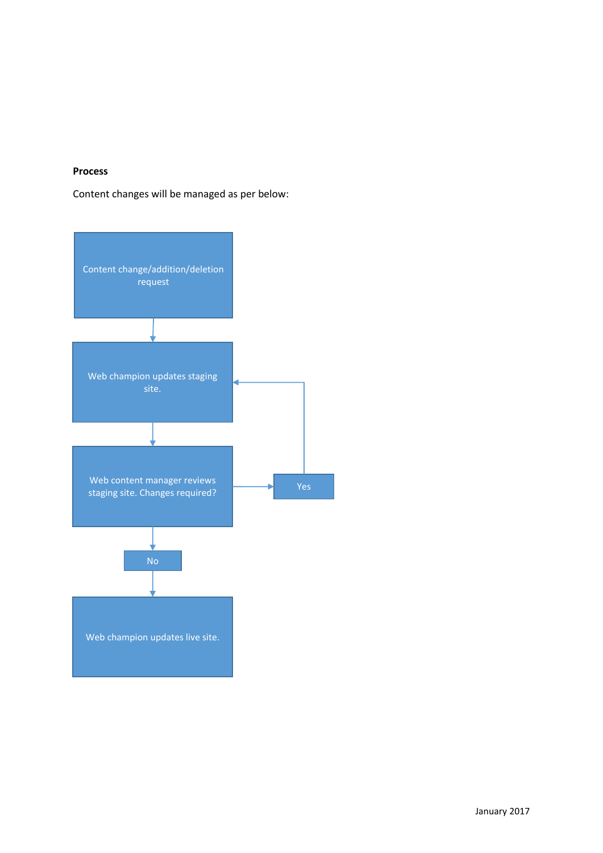# **Process**

Content changes will be managed as per below: